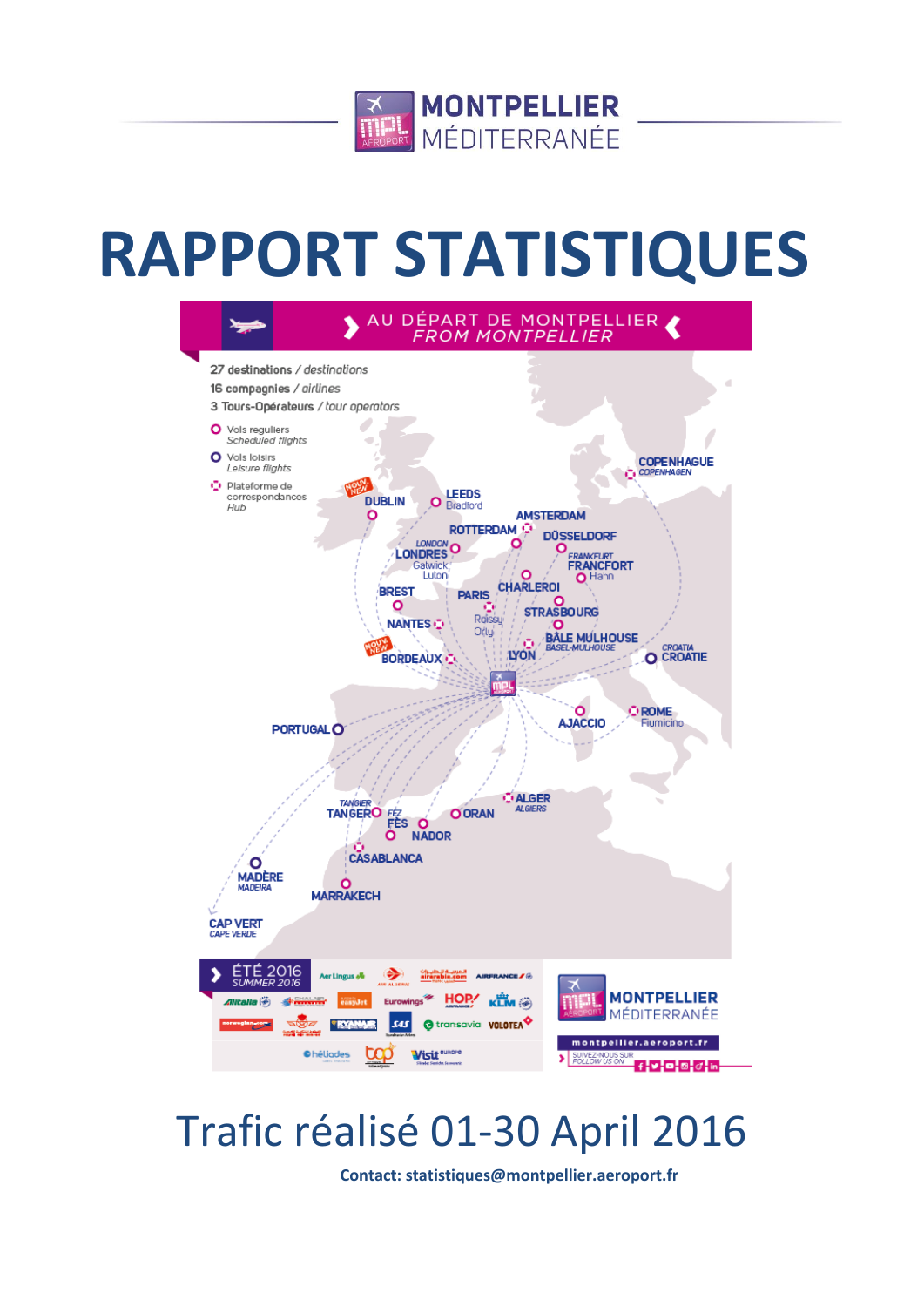

# **RAPPORT STATISTIQUES**



## Trafic réalisé 01-30 April 2016

**Contact: statistiques@montpellier.aeroport.fr**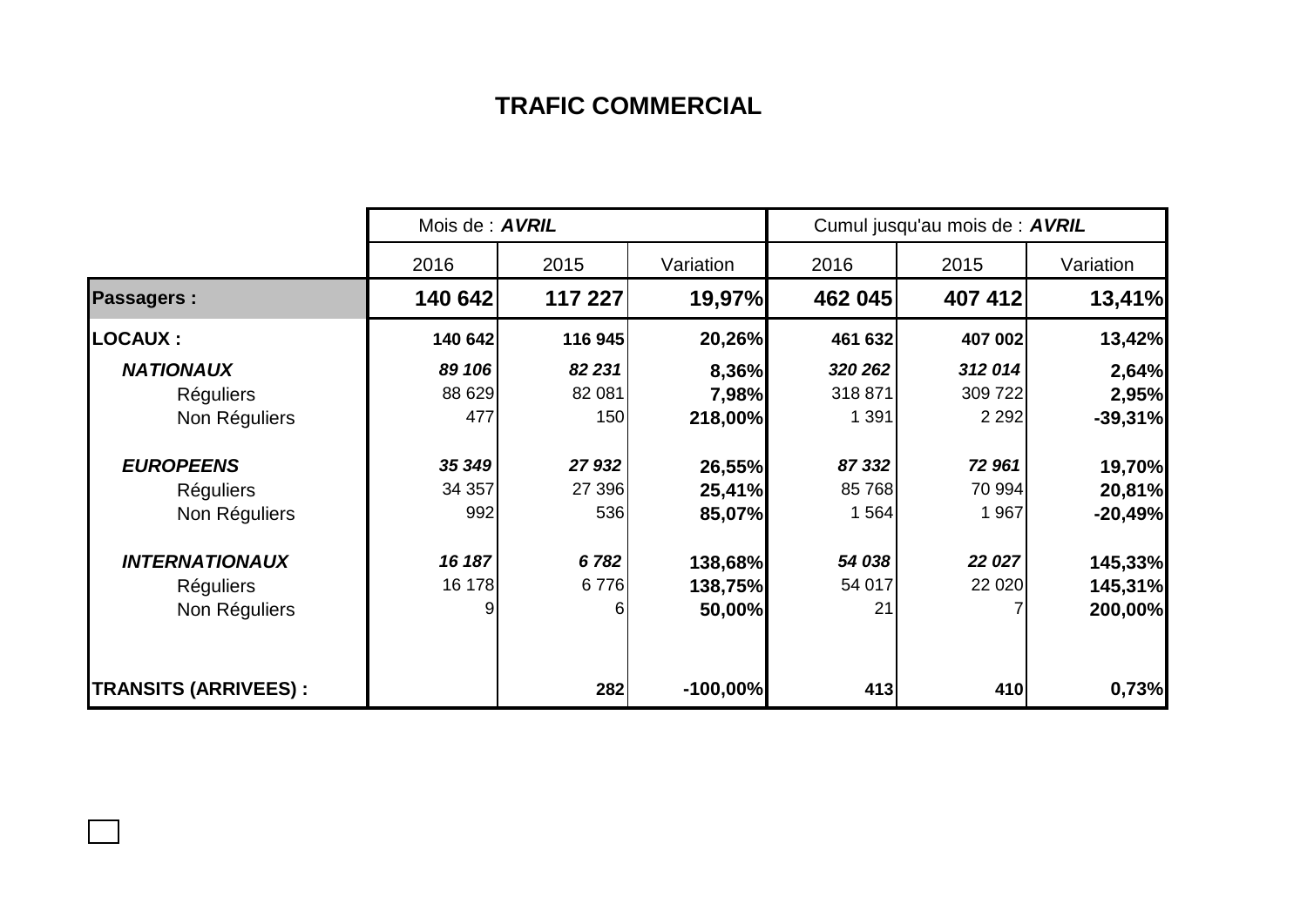## **TRAFIC COMMERCIAL**

|                             |         | Mois de : <b>AVRIL</b> |            |         | Cumul jusqu'au mois de : AVRIL |           |  |  |
|-----------------------------|---------|------------------------|------------|---------|--------------------------------|-----------|--|--|
|                             | 2016    | 2015                   | Variation  | 2016    | 2015                           | Variation |  |  |
| <b>Passagers:</b>           | 140 642 | 117 227                | 19,97%     | 462 045 | 407 412                        | 13,41%    |  |  |
| <b>LOCAUX:</b>              | 140 642 | 116 945                | 20,26%     | 461 632 | 407 002                        | 13,42%    |  |  |
| <b>NATIONAUX</b>            | 89 106  | 82 231                 | 8,36%      | 320 262 | 312 014                        | 2,64%     |  |  |
| <b>Réguliers</b>            | 88 629  | 82 081                 | 7,98%      | 318 871 | 309 722                        | 2,95%     |  |  |
| Non Réguliers               | 477     | 150                    | 218,00%    | 1 3 9 1 | 2 2 9 2                        | $-39,31%$ |  |  |
| <b>EUROPEENS</b>            | 35 349  | 27 932                 | 26,55%     | 87 332  | 72 961                         | 19,70%    |  |  |
| <b>Réguliers</b>            | 34 357  | 27 396                 | 25,41%     | 85 768  | 70 994                         | 20,81%    |  |  |
| Non Réguliers               | 992     | 536                    | 85,07%     | 1 564   | 1 967                          | $-20,49%$ |  |  |
| <b>INTERNATIONAUX</b>       | 16 187  | 6782                   | 138,68%    | 54 038  | 22 027                         | 145,33%   |  |  |
| <b>Réguliers</b>            | 16 178  | 6776                   | 138,75%    | 54 017  | 22 0 20                        | 145,31%   |  |  |
| Non Réguliers               | 9       | 6                      | 50,00%     | 21      |                                | 200,00%   |  |  |
| <b>TRANSITS (ARRIVEES):</b> |         | 282                    | $-100,00%$ | 413     | 410                            | 0,73%     |  |  |

 $\Box$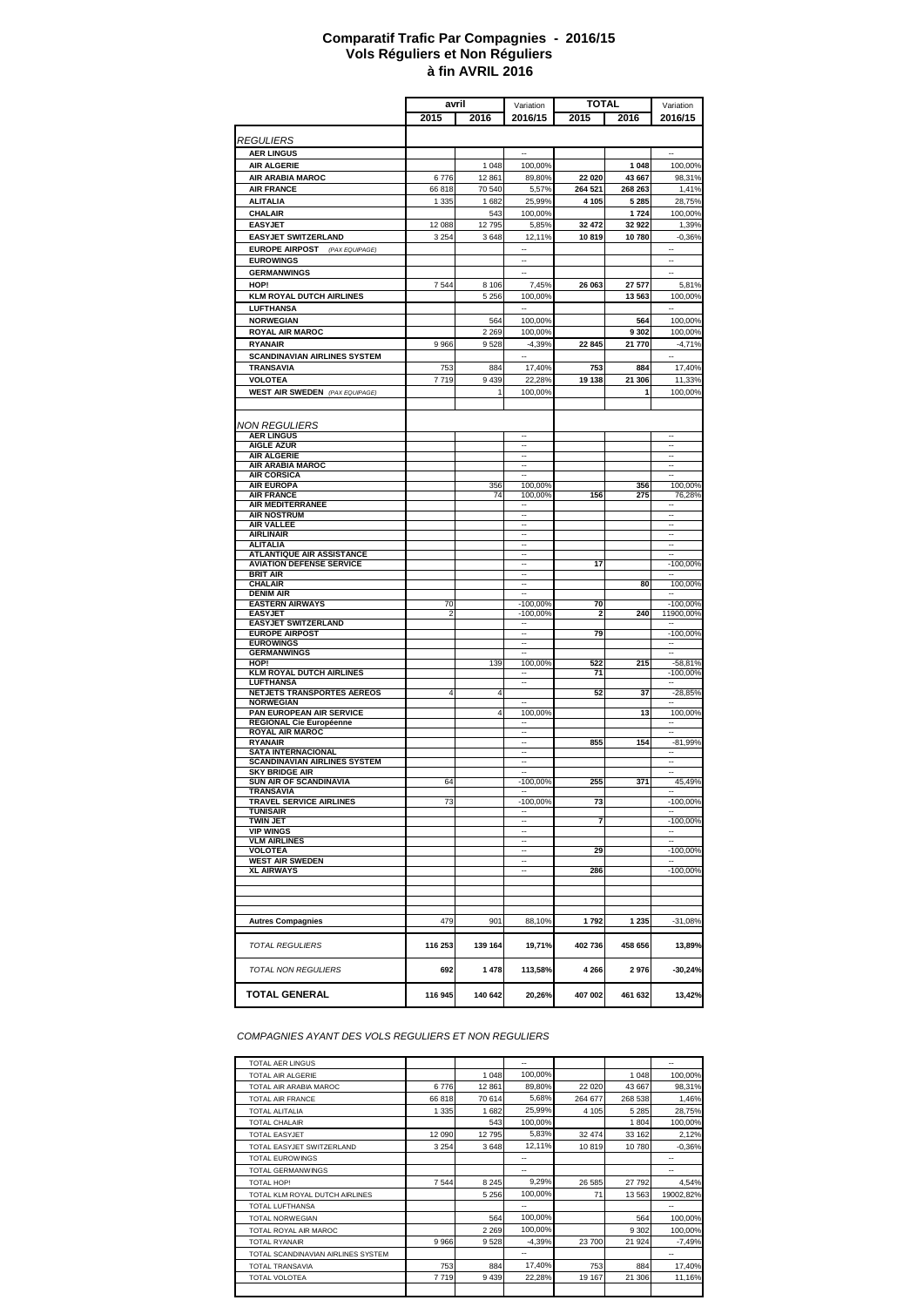#### **à fin AVRIL 2016 Comparatif Trafic Par Compagnies - 2016/15 Vols Réguliers et Non Réguliers**

|                                                        | avril          |                  | <b>TOTAL</b><br>Variation                            |                   |                   | Variation                                        |
|--------------------------------------------------------|----------------|------------------|------------------------------------------------------|-------------------|-------------------|--------------------------------------------------|
|                                                        | 2015           | 2016             | 2016/15                                              | 2015              | 2016              | 2016/15                                          |
|                                                        |                |                  |                                                      |                   |                   |                                                  |
| <b>REGULIERS</b>                                       |                |                  |                                                      |                   |                   |                                                  |
| <b>AER LINGUS</b>                                      |                |                  |                                                      |                   |                   |                                                  |
| <b>AIR ALGERIE</b>                                     |                | 1 0 4 8          | 100,00%                                              |                   | 1 048             | 100,00%                                          |
| AIR ARABIA MAROC<br><b>AIR FRANCE</b>                  | 6776<br>66818  | 12 861<br>70 540 | 89,80%<br>5,57%                                      | 22 020<br>264 521 | 43 667<br>268 263 | 98,31%<br>1,41%                                  |
| <b>ALITALIA</b>                                        | 1 3 3 5        | 1682             | 25,99%                                               | 4 1 0 5           | 5 2 8 5           | 28,75%                                           |
| CHALAIR                                                |                | 543              | 100,00%                                              |                   | 1724              | 100,00%                                          |
| <b>EASYJET</b>                                         | 12 088         | 12795            | 5,85%                                                | 32 472            | 32 922            | 1,39%                                            |
| <b>EASYJET SWITZERLAND</b>                             | 3 2 5 4        | 3 6 4 8          | 12,11%                                               | 10819             | 10780             | $-0,36%$                                         |
| <b>EUROPE AIRPOST</b><br>(PAX EQUIPAGE)                |                |                  | --                                                   |                   |                   |                                                  |
| <b>EUROWINGS</b>                                       |                |                  | Ξ.                                                   |                   |                   | $\ddot{\phantom{a}}$                             |
| <b>GERMANWINGS</b>                                     |                |                  |                                                      |                   |                   | $\ddot{\phantom{a}}$                             |
| HOP!                                                   | 7544           | 8 1 0 6          | 7,45%                                                | 26 063            | 27 577            | 5,81%                                            |
| <b>KLM ROYAL DUTCH AIRLINES</b>                        |                | 5 2 5 6          | 100,00%                                              |                   | 13 563            | 100,00%                                          |
| <b>LUFTHANSA</b>                                       |                |                  |                                                      |                   |                   |                                                  |
| <b>NORWEGIAN</b>                                       |                | 564              | 100,00%                                              |                   | 564               | 100,00%                                          |
| <b>ROYAL AIR MAROC</b>                                 |                | 2 2 6 9          | 100,00%                                              |                   | 9 3 0 2           | 100,00%                                          |
| <b>RYANAIR</b>                                         | 9966           | 9528             | $-4,39%$                                             | 22 845            | 21 770            | $-4,71%$                                         |
| <b>SCANDINAVIAN AIRLINES SYSTEM</b><br>TRANSAVIA       |                |                  | $\overline{\phantom{a}}$                             |                   |                   | $\overline{\phantom{a}}$                         |
| <b>VOLOTEA</b>                                         | 753<br>7719    | 884<br>9 4 3 9   | 17,40%<br>22,28%                                     | 753<br>19 138     | 884<br>21 306     | 17,40%<br>11,33%                                 |
| <b>WEST AIR SWEDEN</b> (PAX EQUIPAGE)                  |                | 1                | 100,00%                                              |                   | 1                 | 100,00%                                          |
|                                                        |                |                  |                                                      |                   |                   |                                                  |
|                                                        |                |                  |                                                      |                   |                   |                                                  |
| NON REGULIERS                                          |                |                  |                                                      |                   |                   |                                                  |
| <b>AER LINGUS</b>                                      |                |                  | $\ddotsc$                                            |                   |                   | $\ddotsc$                                        |
| <b>AIGLE AZUR</b><br><b>AIR ALGERIE</b>                |                |                  | Ξ.<br>$\overline{\phantom{a}}$                       |                   |                   | $\ddot{\phantom{a}}$<br>$\overline{\phantom{a}}$ |
| AIR ARABIA MAROC                                       |                |                  | $\overline{\phantom{a}}$                             |                   |                   | --                                               |
| <b>AIR CORSICA</b>                                     |                |                  | $\overline{a}$                                       |                   |                   |                                                  |
| <b>AIR EUROPA</b><br><b>AIR FRANCE</b>                 |                | 356              | 100,00%                                              |                   | 356               | 100,00%                                          |
| AIR MEDITERRANEE                                       |                | 74               | 100,00%<br>$\overline{\phantom{a}}$                  | 156               | 275               | 76,28%<br>$\overline{\phantom{a}}$               |
| <b>AIR NOSTRUM</b>                                     |                |                  | $\overline{\phantom{a}}$                             |                   |                   |                                                  |
| <b>AIR VALLEE</b>                                      |                |                  | $\sim$                                               |                   |                   | $\overline{\phantom{a}}$                         |
| <b>AIRLINAIR</b><br><b>ALITALIA</b>                    |                |                  | --<br>$\ddot{\phantom{a}}$                           |                   |                   | --<br>$\ddot{\phantom{a}}$                       |
| <b>ATLANTIQUE AIR ASSISTANCE</b>                       |                |                  | $\sim$                                               |                   |                   | $\overline{a}$                                   |
| <b>AVIATION DEFENSE SERVICE</b>                        |                |                  | $\overline{a}$                                       | 17                |                   | $-100,00%$                                       |
| <b>BRIT AIR</b>                                        |                |                  |                                                      |                   |                   |                                                  |
| <b>CHALAIR</b><br><b>DENIM AIR</b>                     |                |                  | $\overline{\phantom{a}}$<br>$\overline{\phantom{a}}$ |                   | 80                | 100,00%<br>$\overline{\phantom{a}}$              |
| <b>EASTERN AIRWAYS</b>                                 | 70             |                  | $-100,00%$                                           | 70                |                   | $-100,00%$                                       |
| <b>EASYJET</b>                                         | 2              |                  | $-100,00%$                                           | 2                 | 240               | 11900,00%                                        |
| <b>EASYJET SWITZERLAND</b>                             |                |                  | $\overline{\phantom{a}}$                             |                   |                   |                                                  |
| <b>EUROPE AIRPOST</b><br><b>EUROWINGS</b>              |                |                  |                                                      | 79                |                   | $-100,00%$                                       |
| <b>GERMANWINGS</b>                                     |                |                  |                                                      |                   |                   |                                                  |
| HOP!                                                   |                | 139              | 100,00%                                              | 522               | 215               | $-58,81%$                                        |
| <b>KLM ROYAL DUTCH AIRLINES</b>                        |                |                  | $\overline{\phantom{a}}$<br>$\overline{\phantom{a}}$ | 71                |                   | $-100,00%$                                       |
| LUFTHANSA<br>NETJETS TRANSPORTES AEREOS                | $\overline{4}$ | 4                |                                                      | 52                | 37                | $-28,85%$                                        |
| <b>NORWEGIAN</b>                                       |                |                  | $\overline{a}$                                       |                   |                   |                                                  |
| PAN EUROPEAN AIR SERVICE                               |                | $\overline{4}$   | 100,00%                                              |                   | 13                | 100,00%                                          |
| REGIONAL Cie Européenne<br><b>ROYAL AIR MAROC</b>      |                |                  | ٠.                                                   |                   |                   |                                                  |
| <b>RYANAIR</b>                                         |                |                  |                                                      | 855               | 154               | $-81,99%$                                        |
| <b>SATA INTERNACIONAL</b>                              |                |                  | $\overline{\phantom{a}}$                             |                   |                   | $\sim$                                           |
| <b>SCANDINAVIAN AIRLINES SYSTEM</b>                    |                |                  | $\overline{\phantom{a}}$                             |                   |                   | $\overline{\phantom{a}}$                         |
| <b>SKY BRIDGE AIR</b><br><b>SUN AIR OF SCANDINAVIA</b> | 64             |                  | $-100,00%$                                           | 255               | 371               | 45,49%                                           |
| <b>TRANSAVIA</b>                                       |                |                  |                                                      |                   |                   |                                                  |
| <b>TRAVEL SERVICE AIRLINES</b>                         | 73             |                  | $-100,00%$                                           | 73                |                   | $-100,00%$                                       |
| <b>TUNISAIR</b><br><b>TWIN JET</b>                     |                |                  |                                                      | 7                 |                   | $-100,00%$                                       |
| <b>VIP WINGS</b>                                       |                |                  | $\overline{\phantom{a}}$                             |                   |                   | $\overline{\phantom{a}}$                         |
| <b>VLM AIRLINES</b>                                    |                |                  | $\overline{\phantom{a}}$                             |                   |                   | $\overline{\phantom{a}}$                         |
| <b>VOLOTEA</b>                                         |                |                  | $\overline{\phantom{a}}$                             | 29                |                   | $-100,00%$                                       |
| <b>WEST AIR SWEDEN</b><br><b>XL AIRWAYS</b>            |                |                  | <br>$\ddot{\phantom{a}}$                             | 286               |                   | -100,00%                                         |
|                                                        |                |                  |                                                      |                   |                   |                                                  |
|                                                        |                |                  |                                                      |                   |                   |                                                  |
|                                                        |                |                  |                                                      |                   |                   |                                                  |
| <b>Autres Compagnies</b>                               | 479            | 901              | 88,10%                                               | 1792              | 1 2 3 5           | $-31,08%$                                        |
|                                                        |                |                  |                                                      |                   |                   |                                                  |
| <b>TOTAL REGULIERS</b>                                 | 116 253        | 139 164          | 19,71%                                               | 402 736           | 458 656           | 13,89%                                           |
|                                                        |                |                  |                                                      |                   |                   |                                                  |
| <b>TOTAL NON REGULIERS</b>                             | 692            | 1 478            | 113,58%                                              | 4 2 6 6           | 2976              | $-30,24%$                                        |
| <b>TOTAL GENERAL</b>                                   | 116 945        | 140 642          | 20,26%                                               | 407 002           | 461 632           | 13,42%                                           |

*COMPAGNIES AYANT DES VOLS REGULIERS ET NON REGULIERS*

| <b>TOTAL AER LINGUS</b>            |         |         | $\overline{a}$ |         |         | $\overline{a}$           |
|------------------------------------|---------|---------|----------------|---------|---------|--------------------------|
| TOTAL AIR ALGERIE                  |         | 1 0 4 8 | 100,00%        |         | 1 0 4 8 | 100,00%                  |
| TOTAL AIR ARABIA MAROC             | 6776    | 12 8 61 | 89,80%         | 22 0 20 | 43 667  | 98,31%                   |
| TOTAL AIR FRANCE                   | 66818   | 70 614  | 5.68%          | 264 677 | 268 538 | 1.46%                    |
| TOTAL ALITALIA                     | 1 3 3 5 | 1682    | 25,99%         | 4 1 0 5 | 5 2 8 5 | 28,75%                   |
| <b>TOTAL CHALAIR</b>               |         | 543     | 100.00%        |         | 1 804   | 100.00%                  |
| <b>TOTAL EASYJET</b>               | 12 090  | 12 795  | 5,83%          | 32 474  | 33 162  | 2,12%                    |
| TOTAL FASYJET SWITZERLAND          | 3 2 5 4 | 3648    | 12,11%         | 10819   | 10 780  | $-0.36%$                 |
| <b>TOTAL FUROWINGS</b>             |         |         | --             |         |         | $\overline{\phantom{a}}$ |
| <b>TOTAL GERMANWINGS</b>           |         |         | $\overline{a}$ |         |         | $\overline{a}$           |
| <b>TOTAL HOP!</b>                  | 7544    | 8 2 4 5 | 9.29%          | 26 585  | 27 792  | 4.54%                    |
| TOTAL KLM ROYAL DUTCH AIRLINES     |         | 5 2 5 6 | 100.00%        | 71      | 13 5 63 | 19002,82%                |
| TOTAL LUFTHANSA                    |         |         | --             |         |         | $\overline{\phantom{a}}$ |
| <b>TOTAL NORWEGIAN</b>             |         | 564     | 100,00%        |         | 564     | 100,00%                  |
| TOTAL ROYAL AIR MAROC              |         | 2 2 6 9 | 100.00%        |         | 9 3 0 2 | 100.00%                  |
| <b>TOTAL RYANAIR</b>               | 9966    | 9528    | $-4.39%$       | 23 700  | 21 9 24 | $-7,49%$                 |
| TOTAL SCANDINAVIAN AIRLINES SYSTEM |         |         | $\overline{a}$ |         |         | $-$                      |
| <b>TOTAI TRANSAVIA</b>             | 753     | 884     | 17.40%         | 753     | 884     | 17,40%                   |
| TOTAL VOLOTEA                      | 7719    | 9439    | 22,28%         | 19 167  | 21 30 6 | 11,16%                   |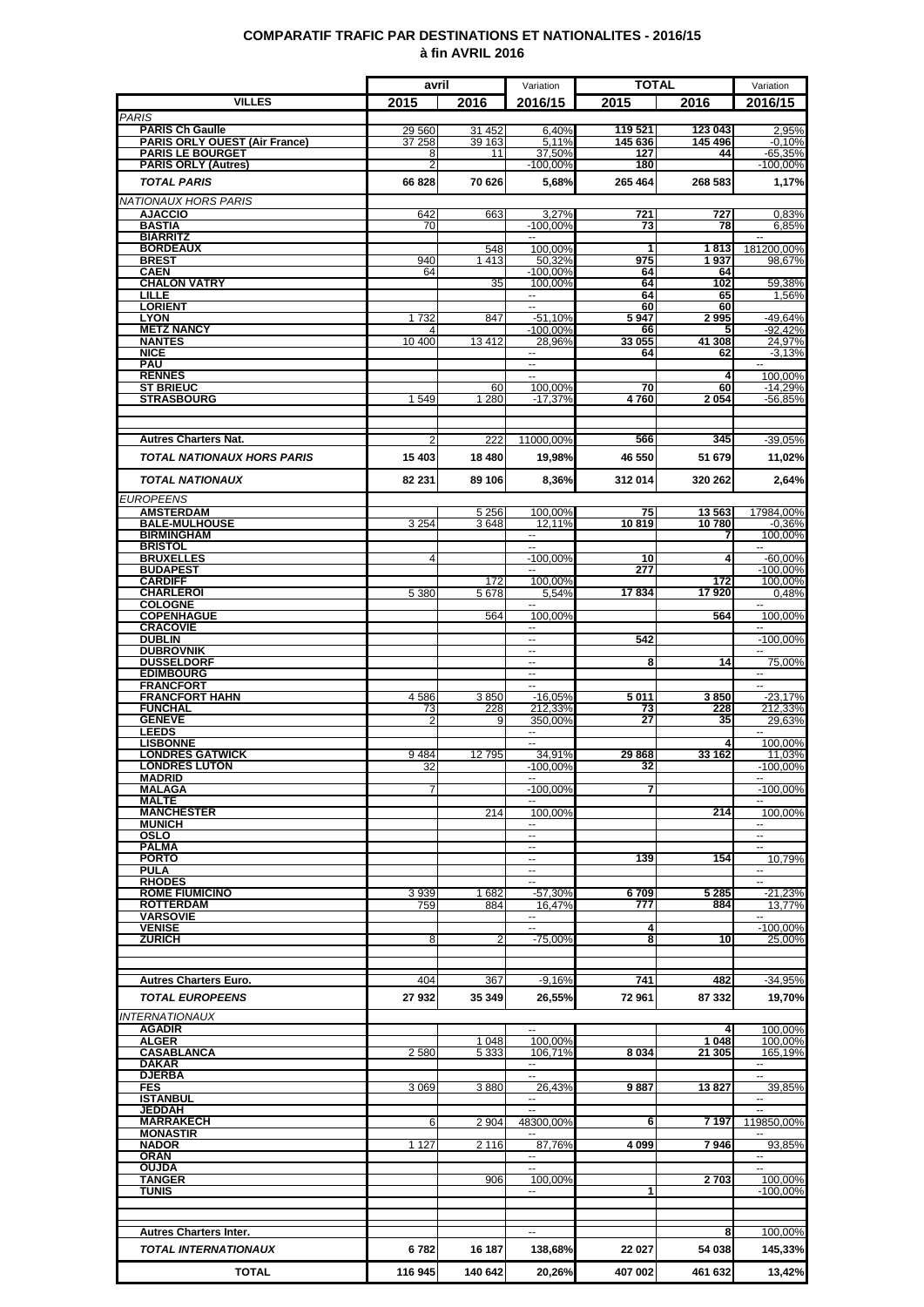### **COMPARATIF TRAFIC PAR DESTINATIONS ET NATIONALITES - 2016/15 à fin AVRIL 2016**

|                                                       | avril               |                 | Variation                          | <b>TOTAL</b> |                | Variation                                            |
|-------------------------------------------------------|---------------------|-----------------|------------------------------------|--------------|----------------|------------------------------------------------------|
| VILLES                                                | 2015                | 2016            | 2016/15                            | 2015         | 2016           | 2016/15                                              |
| <b>PARIS</b><br><b>PARIS Ch Gaulle</b>                | 29 560              | 31 452          | 6,40%                              | 119 521      | 123 043        |                                                      |
| <b>PARIS ORLY OUEST (Air France)</b>                  | 37 258              | 39 163          | 5,11%                              | 145 636      | 145 496        | 2,95%<br>$-0.10%$                                    |
| <b>PARIS LE BOURGET</b><br><b>PARIS ORLY (Autres)</b> | 8<br>$\overline{2}$ | 11              | 37,50%<br>$-100,00%$               | 127<br>180   | 44             | -65,35%<br>$-100,00%$                                |
| <b>TOTAL PARIS</b>                                    | 66828               | 70 626          | 5,68%                              | 265 464      | 268 583        | 1,17%                                                |
| NATIONAUX HORS PARIS                                  |                     |                 |                                    |              |                |                                                      |
| <b>AJACCIO</b>                                        | 642                 | 663             | 3,27%                              | 721          | 727            | 0,83%                                                |
| <b>BASTIA</b><br><b>BIARRITZ</b>                      | 70                  |                 | $-100,00%$<br>$\sim$               | 73           | 78             | 6,85%<br>$\overline{\phantom{a}}$                    |
| <b>BORDEAUX</b>                                       |                     | 548             | 100.00%                            | 1            | 1813           | 181200,00%                                           |
| <b>BREST</b><br><b>CAEN</b>                           | 940<br>64           | 1413            | 50,32%<br>$-100,00%$               | 975<br>64    | 1937<br>64     | 98,67%                                               |
| <b>CHALON VATRY</b>                                   |                     | 35              | 100,00%                            | 64           | 102            | 59.38%                                               |
| <b>LILLE</b><br><b>LORIENT</b>                        |                     |                 | $\sim$<br>Ξ                        | 64<br>60     | 65<br>60       | 1,56%                                                |
| <b>LYON</b><br><b>METZ NANCY</b>                      | 1732                | 847             | $-51,10%$<br>$-100,00%$            | 5947<br>66   | 2995<br>5      | -49,64%<br>$-92,42%$                                 |
| <b>NANTES</b>                                         | 10 400              | 13412           | 28,96%                             | 33 055       | 41 308         | 24,97%                                               |
| <b>NICE</b><br><b>PAU</b>                             |                     |                 | --<br>$\overline{\phantom{a}}$     | 64           | 62             | $-3,13%$<br>$\sim$                                   |
| <b>RENNES</b>                                         |                     |                 | щ.                                 |              | 4              | 100.00%                                              |
| <b>ST BRIEUC</b><br><b>STRASBOURG</b>                 | 1549                | 60<br>1 2 8 0   | 100,00%<br>$-17,37%$               | 70<br>4760   | 60<br>2054     | $-14,29%$<br>$-56.85%$                               |
|                                                       |                     |                 |                                    |              |                |                                                      |
|                                                       |                     |                 |                                    |              |                |                                                      |
| <b>Autres Charters Nat.</b>                           |                     | 222             | 11000,00%                          | 566          | 345            | -39,05%                                              |
| <b>TOTAL NATIONAUX HORS PARIS</b>                     | 15 403              | 18 4 8 0        | 19,98%                             | 46 550       | 51 679         | 11,02%                                               |
| <b>TOTAL NATIONAUX</b>                                | 82 231              | 89 106          | 8,36%                              | 312 014      | 320 262        | 2,64%                                                |
| <b>EUROPEENS</b>                                      |                     |                 |                                    |              |                |                                                      |
| <b>AMSTERDAM</b><br><b>BALE-MULHOUSE</b>              | 3 2 5 4             | 5 2 5 6<br>3648 | 100.00%<br>12,11%                  | 75<br>10819  | 13563<br>10780 | 17984,00%<br>$-0.36%$                                |
| <b>BIRMINGHAM</b>                                     |                     |                 | $\sim$                             |              | 7              | 100,00%                                              |
| <b>BRISTOL</b><br><b>BRUXELLES</b>                    | 4                   |                 | ÷.<br>$-100,00%$                   | 10           | 4              | $-60,00%$                                            |
| <b>BUDAPEST</b><br><b>CARDIFF</b>                     |                     |                 | 100.00%                            | 277          |                | $-100,00%$                                           |
| <b>CHARLEROI</b>                                      | 5 3 8 0             | 172<br>5678     | 5.54%                              | 17834        | 172<br>17920   | 100,00%<br>0,48%                                     |
| <b>COLOGNE</b><br><b>COPENHAGUE</b>                   |                     | 564             | $\overline{a}$<br>100,00%          |              | 564            | ÷.<br>100,00%                                        |
| <b>CRACOVIE</b>                                       |                     |                 | н.                                 |              |                | ۰.                                                   |
| <b>DUBLIN</b><br><b>DUBROVNIK</b>                     |                     |                 | u.<br>--                           | 542          |                | $-100,00%$<br>щ.                                     |
| <b>DUSSELDORF</b>                                     |                     |                 | ш.                                 | 8            | 14             | 75,00%                                               |
| <b>EDIMBOURG</b><br><b>FRANCFORT</b>                  |                     |                 | ۰.                                 |              |                | −−                                                   |
| <b>FRANCFORT HAHN</b>                                 | 4586                | 3850            | $-16,05%$                          | 5 011        | 3850           | $-23,17%$                                            |
| <b>FUNCHAL</b><br><b>GENEVE</b>                       | 73<br>2             | 228             | 212.33%<br>350,00%                 | 73<br>27     | 228<br>35      | 212,33%<br>29.63%                                    |
| <b>LEEDS</b><br><b>LISBONNE</b>                       |                     |                 |                                    |              |                | 100.00%                                              |
| <b>LONDRES GATWICK</b>                                | 9484                | 12795           | 34,91%                             | 29868        | 33 162         | 11,03%                                               |
| <b>LONDRES LUTON</b><br><b>MADRID</b>                 | 32                  |                 | $-100,00%$                         | 32           |                | $-100,00\%$                                          |
| <b>MALAGA</b>                                         |                     |                 | $-100,00%$                         |              |                | $-100,00%$                                           |
| <b>MALTE</b><br><b>MANCHESTER</b>                     |                     | 214             | 100,00%                            |              | 214            | 100,00%                                              |
| <b>MUNICH</b>                                         |                     |                 | $\overline{\phantom{a}}$           |              |                | $\sim$                                               |
| OSLO<br><b>PALMA</b>                                  |                     |                 | $\overline{\phantom{a}}$<br>$\sim$ |              |                | $\overline{\phantom{a}}$<br>$\overline{\phantom{a}}$ |
| <b>PORTO</b><br><b>PULA</b>                           |                     |                 | --<br>H                            | 139          | 154            | 10,79%<br>$\sim$                                     |
| <b>RHODES</b>                                         |                     |                 |                                    |              |                |                                                      |
| <b>ROME FIUMICINO</b><br><b>ROTTERDAM</b>             | 3939<br>759         | 1682<br>884     | $-57,30%$<br>16,47%                | 6709<br>777  | 5 2 8 5<br>884 | $-21,23%$<br>13,77%                                  |
| <b>VARSOVIE</b>                                       |                     |                 | $\overline{\phantom{a}}$           |              |                | ⊷.                                                   |
| <b>VENISE</b><br><b>ZURICH</b>                        | 8                   | 2               | $\overline{a}$<br>$-75,00%$        | 4<br>8       | 10             | $-100,00%$<br>25,00%                                 |
|                                                       |                     |                 |                                    |              |                |                                                      |
|                                                       |                     |                 |                                    |              |                |                                                      |
| <b>Autres Charters Euro.</b>                          | 404                 | 367             | $-9,16%$                           | 741          | 482            | $-34,95%$                                            |
| <b>TOTAL EUROPEENS</b>                                | 27 932              | 35 349          | 26,55%                             | 72961        | 87 332         | 19,70%                                               |
| <b>INTERNATIONAUX</b><br><b>AGADIR</b>                |                     |                 |                                    |              | 4              | 100,00%                                              |
| <b>ALGER</b>                                          |                     | 1 0 4 8         | 100,00%                            |              | 1 0 4 8        | 100,00%                                              |
| <b>CASABLANCA</b><br><b>DAKAR</b>                     | 2580                | 5 3 3 3         | 106,71%<br>$\sim$                  | 8 0 3 4      | 21 305         | 165,19%<br>⊷.                                        |
| <b>DJERBA</b>                                         |                     |                 | $\sim$                             |              |                |                                                      |
| <b>FES</b><br><b>ISTANBUL</b>                         | 3 0 6 9             | 3880            | 26,43%<br>--                       | 9887         | 13827          | 39,85%<br>$\overline{\phantom{a}}$                   |
| <b>JEDDAH</b><br><b>MARRAKECH</b>                     | 6                   | 2 9 0 4         | μ.<br>48300,00%                    | 6            | 7 197          | 119850,00%                                           |
| <b>MONASTIR</b>                                       |                     |                 |                                    |              |                |                                                      |
| <b>NADOR</b><br><b>ORAN</b>                           | 1 1 2 7             | 2 1 1 6         | 87.76%<br>$\sim$                   | 4 0 9 9      | 7946           | 93.85%<br>$\overline{a}$                             |
| <b>OUJDA</b>                                          |                     |                 | ш.                                 |              |                | ц.                                                   |
| <b>TANGER</b><br>TUNIS                                |                     | 906             | 100,00%<br>−−                      | 1            | 2703           | 100,00%<br>-100,00%                                  |
|                                                       |                     |                 |                                    |              |                |                                                      |
|                                                       |                     |                 |                                    |              |                |                                                      |
| <b>Autres Charters Inter.</b>                         |                     |                 |                                    |              | 8              | 100,00%                                              |
| <b>TOTAL INTERNATIONAUX</b>                           | 6782                | 16 187          | 138,68%                            | 22 027       | 54 038         | 145,33%                                              |
| <b>TOTAL</b>                                          | 116 945             | 140 642         | 20,26%                             | 407 002      | 461 632        | 13,42%                                               |